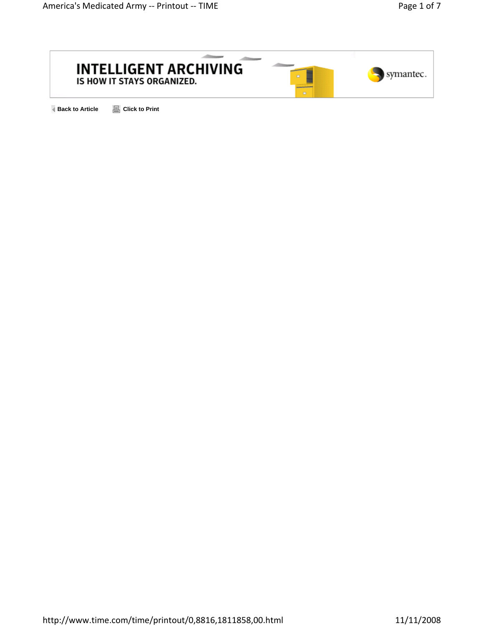

**Back to Article And Allerty** Click to Print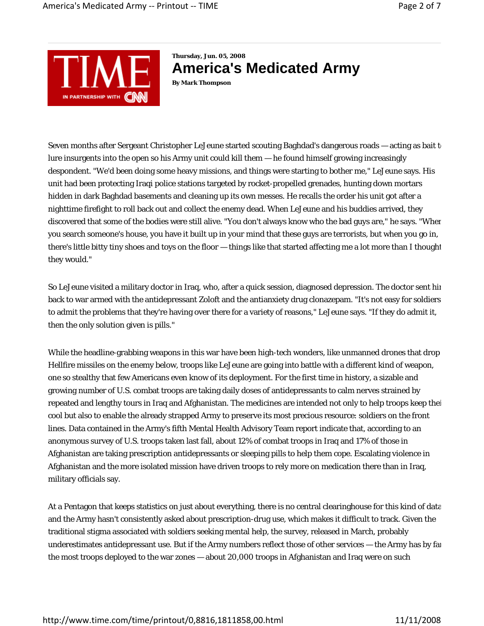

**Thursday, Jun. 05, 2008 America's Medicated Army By Mark Thompson** 

Seven months after Sergeant Christopher LeJeune started scouting Baghdad's dangerous roads — acting as bait to lure insurgents into the open so his Army unit could kill them — he found himself growing increasingly despondent. "We'd been doing some heavy missions, and things were starting to bother me," LeJeune says. His unit had been protecting Iraqi police stations targeted by rocket-propelled grenades, hunting down mortars hidden in dark Baghdad basements and cleaning up its own messes. He recalls the order his unit got after a nighttime firefight to roll back out and collect the enemy dead. When LeJeune and his buddies arrived, they discovered that some of the bodies were still alive. "You don't always know who the bad guys are," he says. "When you search someone's house, you have it built up in your mind that these guys are terrorists, but when you go in, there's little bitty tiny shoes and toys on the floor — things like that started affecting me a lot more than I thought they would."

So LeJeune visited a military doctor in Iraq, who, after a quick session, diagnosed depression. The doctor sent him back to war armed with the antidepressant Zoloft and the antianxiety drug clonazepam. "It's not easy for soldiers to admit the problems that they're having over there for a variety of reasons," LeJeune says. "If they do admit it, then the only solution given is pills."

While the headline-grabbing weapons in this war have been high-tech wonders, like unmanned drones that drop Hellfire missiles on the enemy below, troops like LeJeune are going into battle with a different kind of weapon, one so stealthy that few Americans even know of its deployment. For the first time in history, a sizable and growing number of U.S. combat troops are taking daily doses of antidepressants to calm nerves strained by repeated and lengthy tours in Iraq and Afghanistan. The medicines are intended not only to help troops keep thei cool but also to enable the already strapped Army to preserve its most precious resource: soldiers on the front lines. Data contained in the Army's fifth Mental Health Advisory Team report indicate that, according to an anonymous survey of U.S. troops taken last fall, about 12% of combat troops in Iraq and 17% of those in Afghanistan are taking prescription antidepressants or sleeping pills to help them cope. Escalating violence in Afghanistan and the more isolated mission have driven troops to rely more on medication there than in Iraq, military officials say.

At a Pentagon that keeps statistics on just about everything, there is no central clearinghouse for this kind of data and the Army hasn't consistently asked about prescription-drug use, which makes it difficult to track. Given the traditional stigma associated with soldiers seeking mental help, the survey, released in March, probably underestimates antidepressant use. But if the Army numbers reflect those of other services — the Army has by far the most troops deployed to the war zones — about 20,000 troops in Afghanistan and Iraq were on such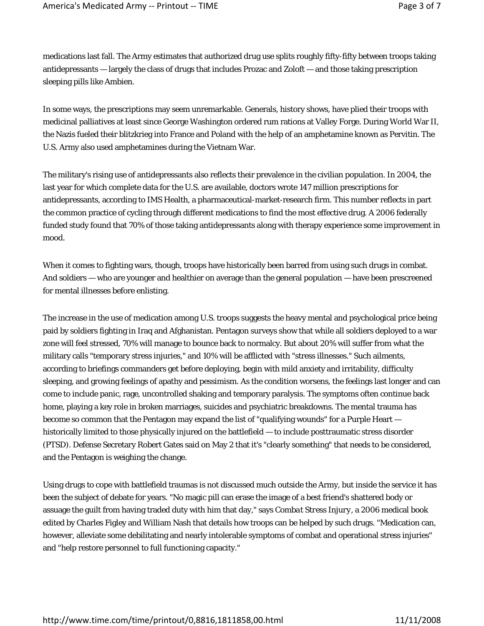medications last fall. The Army estimates that authorized drug use splits roughly fifty-fifty between troops taking antidepressants — largely the class of drugs that includes Prozac and Zoloft — and those taking prescription sleeping pills like Ambien.

In some ways, the prescriptions may seem unremarkable. Generals, history shows, have plied their troops with medicinal palliatives at least since George Washington ordered rum rations at Valley Forge. During World War II, the Nazis fueled their blitzkrieg into France and Poland with the help of an amphetamine known as Pervitin. The U.S. Army also used amphetamines during the Vietnam War.

The military's rising use of antidepressants also reflects their prevalence in the civilian population. In 2004, the last year for which complete data for the U.S. are available, doctors wrote 147 million prescriptions for antidepressants, according to IMS Health, a pharmaceutical-market-research firm. This number reflects in part the common practice of cycling through different medications to find the most effective drug. A 2006 federally funded study found that 70% of those taking antidepressants along with therapy experience some improvement in mood.

When it comes to fighting wars, though, troops have historically been barred from using such drugs in combat. And soldiers — who are younger and healthier on average than the general population — have been prescreened for mental illnesses before enlisting.

The increase in the use of medication among U.S. troops suggests the heavy mental and psychological price being paid by soldiers fighting in Iraq and Afghanistan. Pentagon surveys show that while all soldiers deployed to a war zone will feel stressed, 70% will manage to bounce back to normalcy. But about 20% will suffer from what the military calls "temporary stress injuries," and 10% will be afflicted with "stress illnesses." Such ailments, according to briefings commanders get before deploying, begin with mild anxiety and irritability, difficulty sleeping, and growing feelings of apathy and pessimism. As the condition worsens, the feelings last longer and can come to include panic, rage, uncontrolled shaking and temporary paralysis. The symptoms often continue back home, playing a key role in broken marriages, suicides and psychiatric breakdowns. The mental trauma has become so common that the Pentagon may expand the list of "qualifying wounds" for a Purple Heart historically limited to those physically injured on the battlefield — to include posttraumatic stress disorder (PTSD). Defense Secretary Robert Gates said on May 2 that it's "clearly something" that needs to be considered, and the Pentagon is weighing the change.

Using drugs to cope with battlefield traumas is not discussed much outside the Army, but inside the service it has been the subject of debate for years. "No magic pill can erase the image of a best friend's shattered body or assuage the guilt from having traded duty with him that day," says *Combat Stress Injury*, a 2006 medical book edited by Charles Figley and William Nash that details how troops can be helped by such drugs. "Medication can, however, alleviate some debilitating and nearly intolerable symptoms of combat and operational stress injuries" and "help restore personnel to full functioning capacity."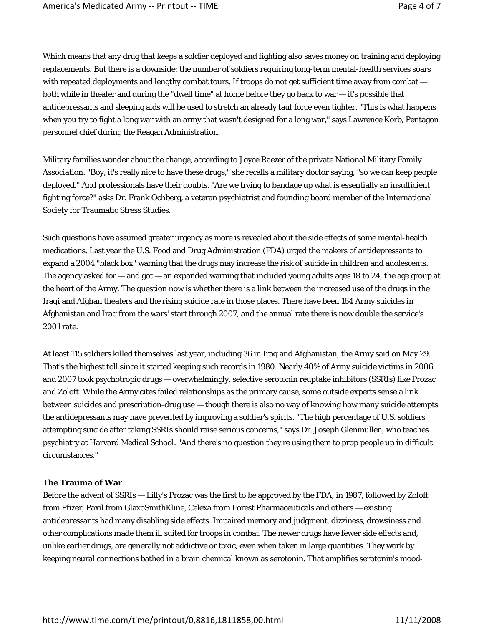Which means that any drug that keeps a soldier deployed and fighting also saves money on training and deploying replacements. But there is a downside: the number of soldiers requiring long-term mental-health services soars with repeated deployments and lengthy combat tours. If troops do not get sufficient time away from combat both while in theater and during the "dwell time" at home before they go back to war — it's possible that antidepressants and sleeping aids will be used to stretch an already taut force even tighter. "This is what happens when you try to fight a long war with an army that wasn't designed for a long war," says Lawrence Korb, Pentagon personnel chief during the Reagan Administration.

Military families wonder about the change, according to Joyce Raezer of the private National Military Family Association. "Boy, it's really nice to have these drugs," she recalls a military doctor saying, "so we can keep people deployed." And professionals have their doubts. "Are we trying to bandage up what is essentially an insufficient fighting force?" asks Dr. Frank Ochberg, a veteran psychiatrist and founding board member of the International Society for Traumatic Stress Studies.

Such questions have assumed greater urgency as more is revealed about the side effects of some mental-health medications. Last year the U.S. Food and Drug Administration (FDA) urged the makers of antidepressants to expand a 2004 "black box" warning that the drugs may increase the risk of suicide in children and adolescents. The agency asked for  $-$  and got  $-$  an expanded warning that included young adults ages 18 to 24, the age group at the heart of the Army. The question now is whether there is a link between the increased use of the drugs in the Iraqi and Afghan theaters and the rising suicide rate in those places. There have been 164 Army suicides in Afghanistan and Iraq from the wars' start through 2007, and the annual rate there is now double the service's 2001 rate.

At least 115 soldiers killed themselves last year, including 36 in Iraq and Afghanistan, the Army said on May 29. That's the highest toll since it started keeping such records in 1980. Nearly 40% of Army suicide victims in 2006 and 2007 took psychotropic drugs — overwhelmingly, selective serotonin reuptake inhibitors (SSRIs) like Prozac and Zoloft. While the Army cites failed relationships as the primary cause, some outside experts sense a link between suicides and prescription-drug use — though there is also no way of knowing how many suicide attempts the antidepressants may have prevented by improving a soldier's spirits. "The high percentage of U.S. soldiers attempting suicide after taking SSRIs should raise serious concerns," says Dr. Joseph Glenmullen, who teaches psychiatry at Harvard Medical School. "And there's no question they're using them to prop people up in difficult circumstances."

## **The Trauma of War**

Before the advent of SSRIs — Lilly's Prozac was the first to be approved by the FDA, in 1987, followed by Zoloft from Pfizer, Paxil from GlaxoSmithKline, Celexa from Forest Pharmaceuticals and others — existing antidepressants had many disabling side effects. Impaired memory and judgment, dizziness, drowsiness and other complications made them ill suited for troops in combat. The newer drugs have fewer side effects and, unlike earlier drugs, are generally not addictive or toxic, even when taken in large quantities. They work by keeping neural connections bathed in a brain chemical known as serotonin. That amplifies serotonin's mood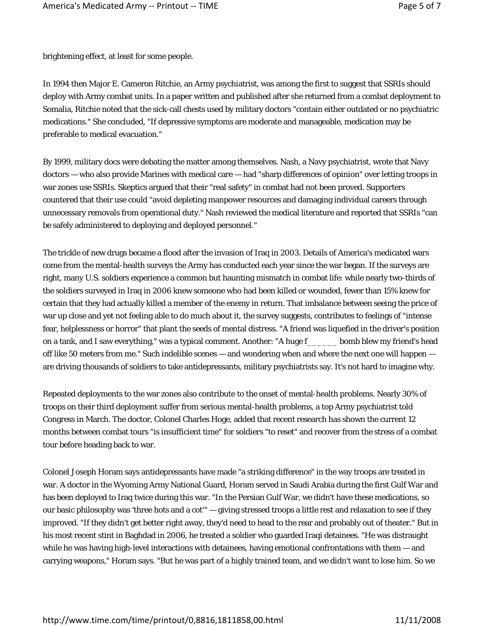brightening effect, at least for some people.

In 1994 then Major E. Cameron Ritchie, an Army psychiatrist, was among the first to suggest that SSRIs should deploy with Army combat units. In a paper written and published after she returned from a combat deployment to Somalia, Ritchie noted that the sick-call chests used by military doctors "contain either outdated or no psychiatric medications." She concluded, "If depressive symptoms are moderate and manageable, medication may be preferable to medical evacuation."

By 1999, military docs were debating the matter among themselves. Nash, a Navy psychiatrist, wrote that Navy doctors — who also provide Marines with medical care — had "sharp differences of opinion" over letting troops in war zones use SSRIs. Skeptics argued that their "real safety" in combat had not been proved. Supporters countered that their use could "avoid depleting manpower resources and damaging individual careers through unnecessary removals from operational duty." Nash reviewed the medical literature and reported that SSRIs "can be safely administered to deploying and deployed personnel."

The trickle of new drugs became a flood after the invasion of Iraq in 2003. Details of America's medicated wars come from the mental-health surveys the Army has conducted each year since the war began. If the surveys are right, many U.S. soldiers experience a common but haunting mismatch in combat life: while nearly two-thirds of the soldiers surveyed in Iraq in 2006 knew someone who had been killed or wounded, fewer than 15% knew for certain that they had actually killed a member of the enemy in return. That imbalance between seeing the price of war up close and yet not feeling able to do much about it, the survey suggests, contributes to feelings of "intense fear, helplessness or horror" that plant the seeds of mental distress. "A friend was liquefied in the driver's position on a tank, and I saw everything," was a typical comment. Another: "A huge f\_\_\_\_\_\_ bomb blew my friend's head off like 50 meters from me." Such indelible scenes — and wondering when and where the next one will happen are driving thousands of soldiers to take antidepressants, military psychiatrists say. It's not hard to imagine why.

Repeated deployments to the war zones also contribute to the onset of mental-health problems. Nearly 30% of troops on their third deployment suffer from serious mental-health problems, a top Army psychiatrist told Congress in March. The doctor, Colonel Charles Hoge, added that recent research has shown the current 12 months between combat tours "is insufficient time" for soldiers "to reset" and recover from the stress of a combat tour before heading back to war.

Colonel Joseph Horam says antidepressants have made "a striking difference" in the way troops are treated in war. A doctor in the Wyoming Army National Guard, Horam served in Saudi Arabia during the first Gulf War and has been deployed to Iraq twice during this war. "In the Persian Gulf War, we didn't have these medications, so our basic philosophy was 'three hots and a cot'" — giving stressed troops a little rest and relaxation to see if they improved. "If they didn't get better right away, they'd need to head to the rear and probably out of theater." But in his most recent stint in Baghdad in 2006, he treated a soldier who guarded Iraqi detainees. "He was distraught while he was having high-level interactions with detainees, having emotional confrontations with them — and carrying weapons," Horam says. "But he was part of a highly trained team, and we didn't want to lose him. So we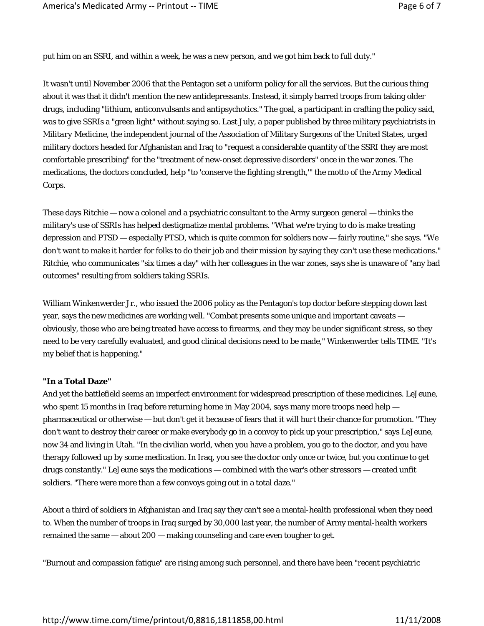put him on an SSRI, and within a week, he was a new person, and we got him back to full duty."

It wasn't until November 2006 that the Pentagon set a uniform policy for all the services. But the curious thing about it was that it didn't mention the new antidepressants. Instead, it simply barred troops from taking older drugs, including "lithium, anticonvulsants and antipsychotics." The goal, a participant in crafting the policy said, was to give SSRIs a "green light" without saying so. Last July, a paper published by three military psychiatrists in *Military Medicine*, the independent journal of the Association of Military Surgeons of the United States, urged military doctors headed for Afghanistan and Iraq to "request a considerable quantity of the SSRI they are most comfortable prescribing" for the "treatment of new-onset depressive disorders" once in the war zones. The medications, the doctors concluded, help "to 'conserve the fighting strength,'" the motto of the Army Medical Corps.

These days Ritchie — now a colonel and a psychiatric consultant to the Army surgeon general — thinks the military's use of SSRIs has helped destigmatize mental problems. "What we're trying to do is make treating depression and PTSD — especially PTSD, which is quite common for soldiers now — fairly routine," she says. "We don't want to make it harder for folks to do their job and their mission by saying they can't use these medications." Ritchie, who communicates "six times a day" with her colleagues in the war zones, says she is unaware of "any bad outcomes" resulting from soldiers taking SSRIs.

William Winkenwerder Jr., who issued the 2006 policy as the Pentagon's top doctor before stepping down last year, says the new medicines are working well. "Combat presents some unique and important caveats obviously, those who are being treated have access to firearms, and they may be under significant stress, so they need to be very carefully evaluated, and good clinical decisions need to be made," Winkenwerder tells TIME. "It's my belief that is happening."

## **"In a Total Daze"**

And yet the battlefield seems an imperfect environment for widespread prescription of these medicines. LeJeune, who spent 15 months in Iraq before returning home in May 2004, says many more troops need help pharmaceutical or otherwise — but don't get it because of fears that it will hurt their chance for promotion. "They don't want to destroy their career or make everybody go in a convoy to pick up your prescription," says LeJeune, now 34 and living in Utah. "In the civilian world, when you have a problem, you go to the doctor, and you have therapy followed up by some medication. In Iraq, you see the doctor only once or twice, but you continue to get drugs constantly." LeJeune says the medications — combined with the war's other stressors — created unfit soldiers. "There were more than a few convoys going out in a total daze."

About a third of soldiers in Afghanistan and Iraq say they can't see a mental-health professional when they need to. When the number of troops in Iraq surged by 30,000 last year, the number of Army mental-health workers remained the same — about 200 — making counseling and care even tougher to get.

"Burnout and compassion fatigue" are rising among such personnel, and there have been "recent psychiatric